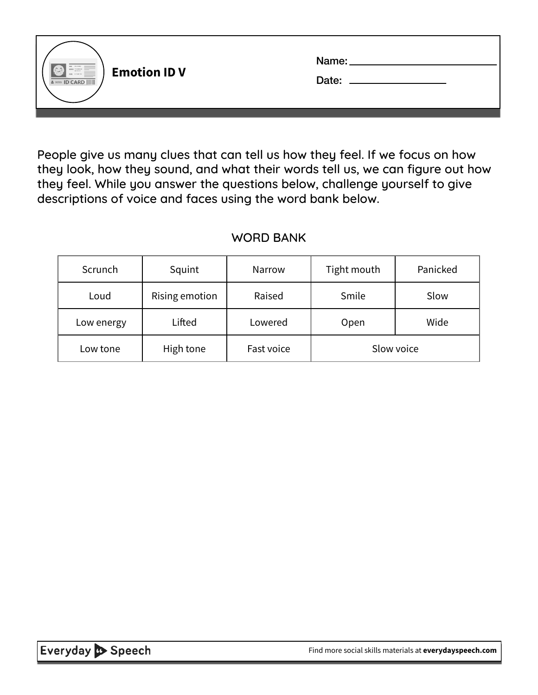| $\begin{tabular}{ c c c c } \hline \quad \quad & \quad \quad & \quad \quad & \quad \quad & \quad \quad & \quad \quad \\ \hline \quad \quad & \quad \quad & \quad \quad & \quad \quad & \quad \quad & \quad \quad \\ \hline \quad \quad & \quad \quad & \quad \quad & \quad \quad & \quad \quad \\ \hline \quad \quad & \quad \quad & \quad \quad & \quad \quad & \quad \quad \\ \hline \quad \quad & \quad \quad & \quad \quad & \quad \quad & \quad \quad \\ \hline \quad \quad & \quad \quad & \quad \quad & \quad \quad \\ \hline \quad \quad & \quad \quad & \quad \quad & \quad \quad \\ \hline \quad \quad &$<br><b>Emotion ID V</b><br>NOW 377500 VIO<br><b>A BDW ID CARD      </b> | Name:<br>Date: |
|--------------------------------------------------------------------------------------------------------------------------------------------------------------------------------------------------------------------------------------------------------------------------------------------------------------------------------------------------------------------------------------------------------------------------------------------------------------------------------------------------------------------------------------------------------------------------------------------------------------------------------------------------------------------------------------------|----------------|
|                                                                                                                                                                                                                                                                                                                                                                                                                                                                                                                                                                                                                                                                                            |                |

People give us many clues that can tell us how they feel. If we focus on how they look, how they sound, and what their words tell us, we can figure out how they feel. While you answer the questions below, challenge yourself to give descriptions of voice and faces using the word bank below.

#### WORD BANK

| Scrunch    | Squint         | Narrow     | Tight mouth | Panicked |
|------------|----------------|------------|-------------|----------|
| Loud       | Rising emotion | Raised     | Smile       | Slow     |
| Low energy | Lifted         | Lowered    | Open        | Wide     |
| Low tone   | High tone      | Fast voice | Slow voice  |          |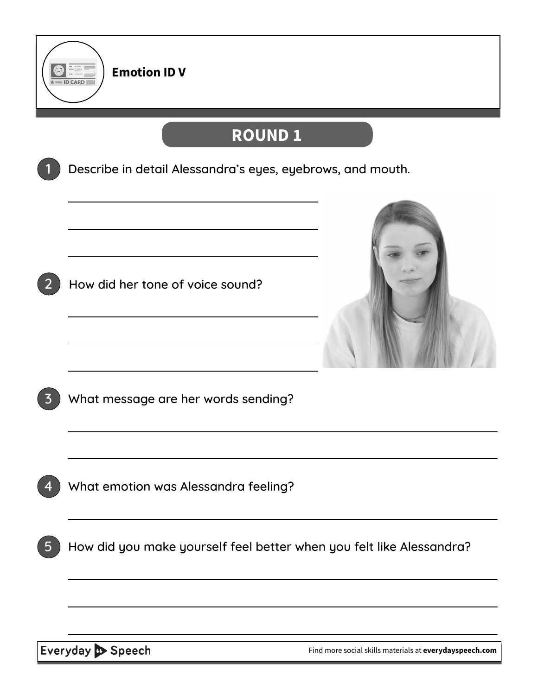

## **ROUND 1**

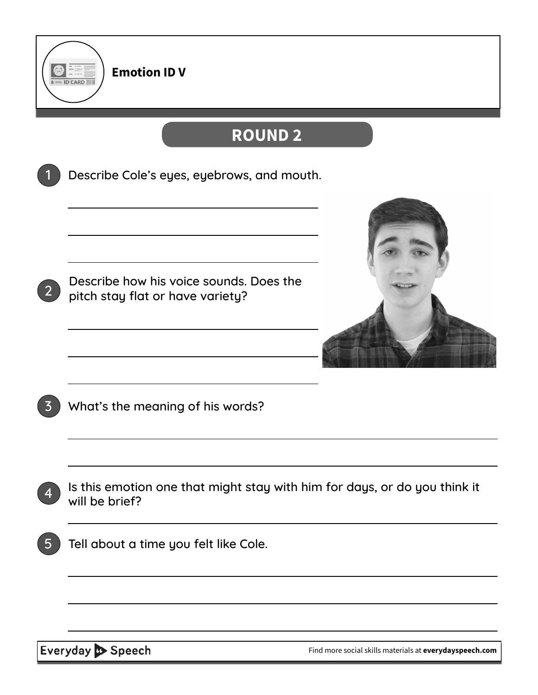

# **ROUND 2**

|                | Describe Cole's eyes, eyebrows, and mouth.                                                  |
|----------------|---------------------------------------------------------------------------------------------|
| 2 <sup>1</sup> | Describe how his voice sounds. Does the<br>pitch stay flat or have variety?                 |
|                | What's the meaning of his words?                                                            |
|                | Is this emotion one that might stay with him for days, or do you think it<br>will be brief? |
| 5              | Tell about a time you felt like Cole.                                                       |
|                |                                                                                             |
|                |                                                                                             |

Everyday Speech

[Find more social skills materials at](https://everydayspeech.com) **everydayspeech.com**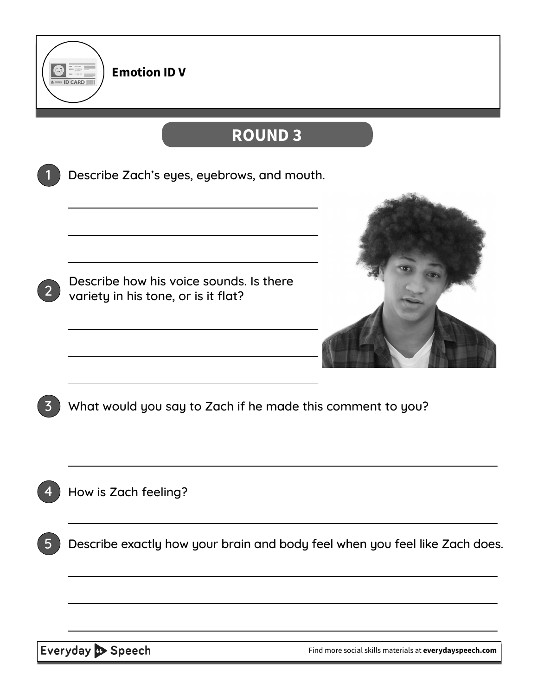

### **ROUND 3**



Everyday Speech

[Find more social skills materials at](https://everydayspeech.com) **everydayspeech.com**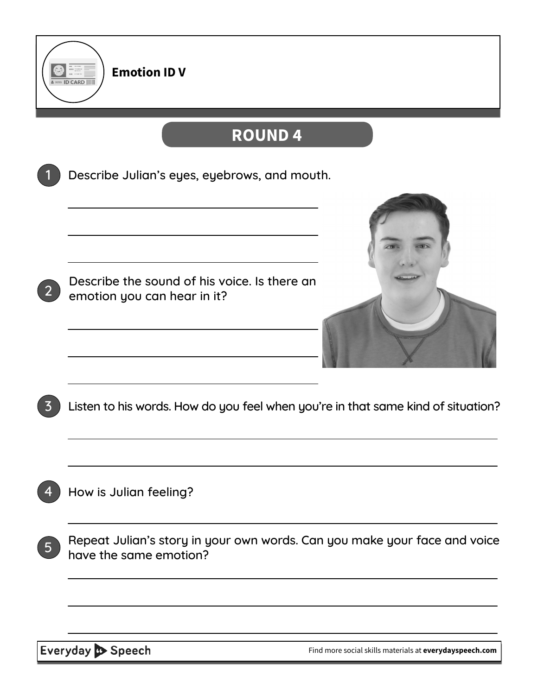

### **ROUND 4**